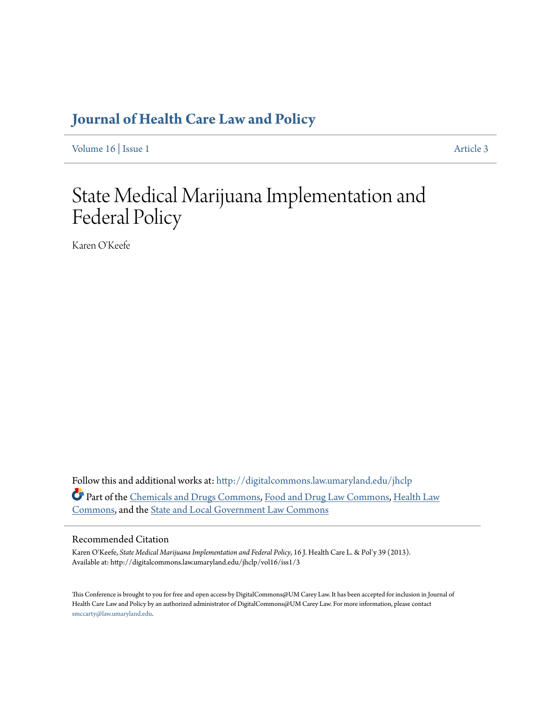# **[Journal of Health Care Law and Policy](http://digitalcommons.law.umaryland.edu/jhclp?utm_source=digitalcommons.law.umaryland.edu%2Fjhclp%2Fvol16%2Fiss1%2F3&utm_medium=PDF&utm_campaign=PDFCoverPages)**

[Volume 16](http://digitalcommons.law.umaryland.edu/jhclp/vol16?utm_source=digitalcommons.law.umaryland.edu%2Fjhclp%2Fvol16%2Fiss1%2F3&utm_medium=PDF&utm_campaign=PDFCoverPages) | [Issue 1](http://digitalcommons.law.umaryland.edu/jhclp/vol16/iss1?utm_source=digitalcommons.law.umaryland.edu%2Fjhclp%2Fvol16%2Fiss1%2F3&utm_medium=PDF&utm_campaign=PDFCoverPages) [Article 3](http://digitalcommons.law.umaryland.edu/jhclp/vol16/iss1/3?utm_source=digitalcommons.law.umaryland.edu%2Fjhclp%2Fvol16%2Fiss1%2F3&utm_medium=PDF&utm_campaign=PDFCoverPages)

# State Medical Marijuana Implementation and Federal Policy

Karen O'Keefe

Follow this and additional works at: [http://digitalcommons.law.umaryland.edu/jhclp](http://digitalcommons.law.umaryland.edu/jhclp?utm_source=digitalcommons.law.umaryland.edu%2Fjhclp%2Fvol16%2Fiss1%2F3&utm_medium=PDF&utm_campaign=PDFCoverPages) Part of the [Chemicals and Drugs Commons,](http://network.bepress.com/hgg/discipline/902?utm_source=digitalcommons.law.umaryland.edu%2Fjhclp%2Fvol16%2Fiss1%2F3&utm_medium=PDF&utm_campaign=PDFCoverPages) [Food and Drug Law Commons](http://network.bepress.com/hgg/discipline/844?utm_source=digitalcommons.law.umaryland.edu%2Fjhclp%2Fvol16%2Fiss1%2F3&utm_medium=PDF&utm_campaign=PDFCoverPages), [Health Law](http://network.bepress.com/hgg/discipline/901?utm_source=digitalcommons.law.umaryland.edu%2Fjhclp%2Fvol16%2Fiss1%2F3&utm_medium=PDF&utm_campaign=PDFCoverPages) [Commons,](http://network.bepress.com/hgg/discipline/901?utm_source=digitalcommons.law.umaryland.edu%2Fjhclp%2Fvol16%2Fiss1%2F3&utm_medium=PDF&utm_campaign=PDFCoverPages) and the [State and Local Government Law Commons](http://network.bepress.com/hgg/discipline/879?utm_source=digitalcommons.law.umaryland.edu%2Fjhclp%2Fvol16%2Fiss1%2F3&utm_medium=PDF&utm_campaign=PDFCoverPages)

# Recommended Citation

Karen O'Keefe, *State Medical Marijuana Implementation and Federal Policy*, 16 J. Health Care L. & Pol'y 39 (2013). Available at: http://digitalcommons.law.umaryland.edu/jhclp/vol16/iss1/3

This Conference is brought to you for free and open access by DigitalCommons@UM Carey Law. It has been accepted for inclusion in Journal of Health Care Law and Policy by an authorized administrator of DigitalCommons@UM Carey Law. For more information, please contact [smccarty@law.umaryland.edu.](mailto:smccarty@law.umaryland.edu)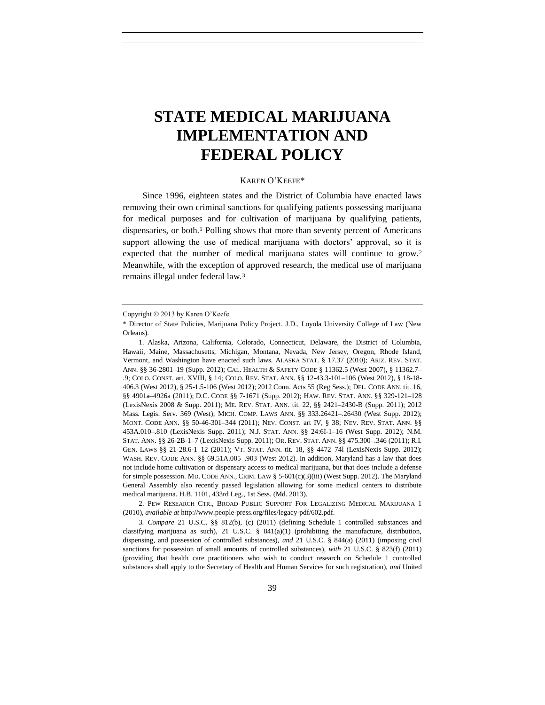# **STATE MEDICAL MARIJUANA IMPLEMENTATION AND FEDERAL POLICY**

#### KAREN O'KEEFE\*

Since 1996, eighteen states and the District of Columbia have enacted laws removing their own criminal sanctions for qualifying patients possessing marijuana for medical purposes and for cultivation of marijuana by qualifying patients, dispensaries, or both.<sup>1</sup> Polling shows that more than seventy percent of Americans support allowing the use of medical marijuana with doctors' approval, so it is expected that the number of medical marijuana states will continue to grow.<sup>2</sup> Meanwhile, with the exception of approved research, the medical use of marijuana remains illegal under federal law.<sup>3</sup>

2. PEW RESEARCH CTR., BROAD PUBLIC SUPPORT FOR LEGALIZING MEDICAL MARIJUANA 1 (2010), *available at* http://www.people-press.org/files/legacy-pdf/602.pdf.

3*. Compare* 21 U.S.C. §§ 812(b), (c) (2011) (defining Schedule 1 controlled substances and classifying marijuana as such), 21 U.S.C.  $\S$  841(a)(1) (prohibiting the manufacture, distribution, dispensing, and possession of controlled substances), *and* 21 U.S.C. § 844(a) (2011) (imposing civil sanctions for possession of small amounts of controlled substances), *with* 21 U.S.C. § 823(f) (2011) (providing that health care practitioners who wish to conduct research on Schedule 1 controlled substances shall apply to the Secretary of Health and Human Services for such registration), *and* United

Copyright © 2013 by Karen O'Keefe.

<sup>\*</sup> Director of State Policies, Marijuana Policy Project. J.D., Loyola University College of Law (New Orleans).

<sup>1.</sup> Alaska, Arizona, California, Colorado, Connecticut, Delaware, the District of Columbia, Hawaii, Maine, Massachusetts, Michigan, Montana, Nevada, New Jersey, Oregon, Rhode Island, Vermont, and Washington have enacted such laws. ALASKA STAT. § 17.37 (2010); ARIZ. REV. STAT. ANN. §§ 36-2801–19 (Supp. 2012); CAL. HEALTH & SAFETY CODE § 11362.5 (West 2007), § 11362.7– .9; COLO. CONST. art. XVIII, § 14; COLO. REV. STAT. ANN. §§ 12-43.3-101–106 (West 2012), § 18-18- 406.3 (West 2012), § 25-1.5-106 (West 2012); 2012 Conn. Acts 55 (Reg Sess.); DEL. CODE ANN. tit. 16, §§ 4901a–4926a (2011); D.C. CODE §§ 7-1671 (Supp. 2012); HAW. REV. STAT. ANN. §§ 329-121–128 (LexisNexis 2008 & Supp. 2011); ME. REV. STAT. ANN. tit. 22, §§ 2421–2430-B (Supp. 2011); 2012 Mass. Legis. Serv. 369 (West); MICH. COMP. LAWS ANN. §§ 333.26421–.26430 (West Supp. 2012); MONT. CODE ANN. §§ 50-46-301–344 (2011); NEV. CONST. art IV, § 38; NEV. REV. STAT. ANN. §§ 453A.010–.810 (LexisNexis Supp. 2011); N.J. STAT. ANN. §§ 24:6I-1–16 (West Supp. 2012); N.M. STAT. ANN. §§ 26-2B-1–7 (LexisNexis Supp. 2011); OR. REV. STAT. ANN. §§ 475.300–.346 (2011); R.I. GEN. LAWS §§ 21-28.6-1–12 (2011); VT. STAT. ANN. tit. 18, §§ 4472–74l (LexisNexis Supp. 2012); WASH. REV. CODE ANN. §§ 69.51A.005–.903 (West 2012). In addition, Maryland has a law that does not include home cultivation or dispensary access to medical marijuana, but that does include a defense for simple possession. MD. CODE ANN., CRIM. LAW  $\S$  5-601(c)(3)(iii) (West Supp. 2012). The Maryland General Assembly also recently passed legislation allowing for some medical centers to distribute medical marijuana. H.B. 1101, 433rd Leg., 1st Sess. (Md. 2013).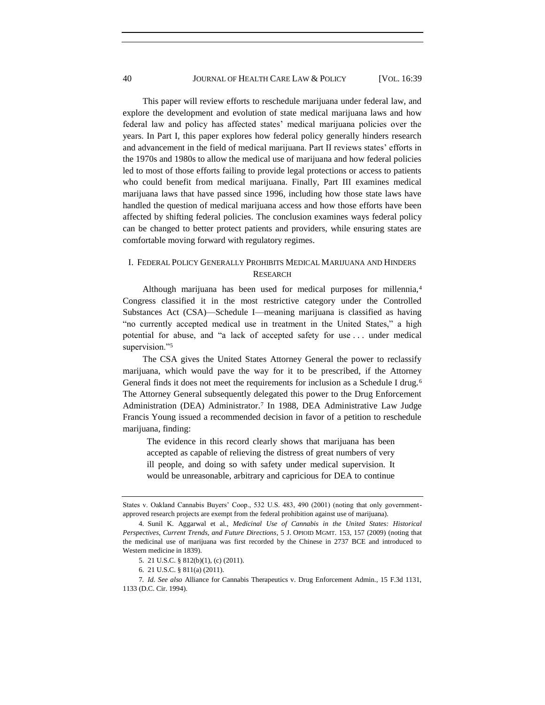This paper will review efforts to reschedule marijuana under federal law, and explore the development and evolution of state medical marijuana laws and how federal law and policy has affected states' medical marijuana policies over the years. In Part I, this paper explores how federal policy generally hinders research and advancement in the field of medical marijuana. Part II reviews states' efforts in the 1970s and 1980s to allow the medical use of marijuana and how federal policies led to most of those efforts failing to provide legal protections or access to patients who could benefit from medical marijuana. Finally, Part III examines medical marijuana laws that have passed since 1996, including how those state laws have handled the question of medical marijuana access and how those efforts have been affected by shifting federal policies. The conclusion examines ways federal policy can be changed to better protect patients and providers, while ensuring states are comfortable moving forward with regulatory regimes.

# I. FEDERAL POLICY GENERALLY PROHIBITS MEDICAL MARIJUANA AND HINDERS RESEARCH

Although marijuana has been used for medical purposes for millennia,<sup>4</sup> Congress classified it in the most restrictive category under the Controlled Substances Act (CSA)—Schedule I—meaning marijuana is classified as having "no currently accepted medical use in treatment in the United States," a high potential for abuse, and "a lack of accepted safety for use  $\dots$  under medical supervision."5

The CSA gives the United States Attorney General the power to reclassify marijuana, which would pave the way for it to be prescribed, if the Attorney General finds it does not meet the requirements for inclusion as a Schedule I drug.<sup>6</sup> The Attorney General subsequently delegated this power to the Drug Enforcement Administration (DEA) Administrator.<sup>7</sup> In 1988, DEA Administrative Law Judge Francis Young issued a recommended decision in favor of a petition to reschedule marijuana, finding:

The evidence in this record clearly shows that marijuana has been accepted as capable of relieving the distress of great numbers of very ill people, and doing so with safety under medical supervision. It would be unreasonable, arbitrary and capricious for DEA to continue

States v. Oakland Cannabis Buyers' Coop., 532 U.S. 483, 490 (2001) (noting that only governmentapproved research projects are exempt from the federal prohibition against use of marijuana).

<sup>4.</sup> Sunil K. Aggarwal et al., *Medicinal Use of Cannabis in the United States: Historical Perspectives, Current Trends, and Future Directions*, 5 J. OPIOID MGMT. 153, 157 (2009) (noting that the medicinal use of marijuana was first recorded by the Chinese in 2737 BCE and introduced to Western medicine in 1839).

<sup>5.</sup> 21 U.S.C. § 812(b)(1), (c) (2011).

<sup>6.</sup> 21 U.S.C. § 811(a) (2011).

<sup>7</sup>*. Id. See also* Alliance for Cannabis Therapeutics v. Drug Enforcement Admin., 15 F.3d 1131, 1133 (D.C. Cir. 1994).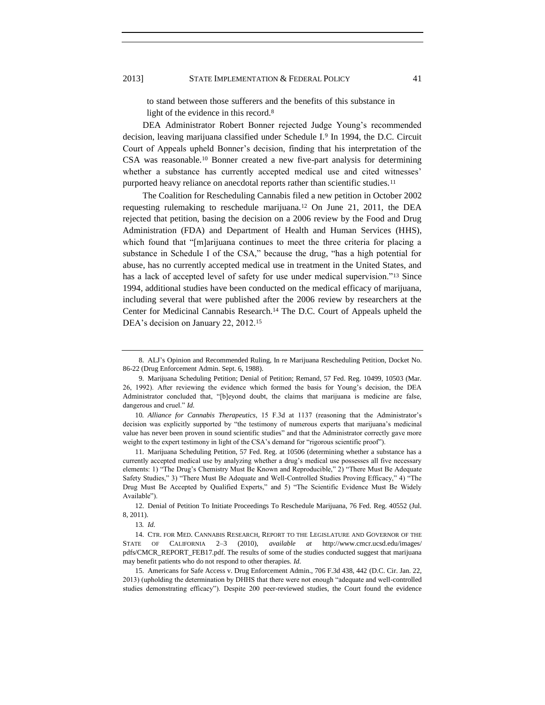#### 2013] STATE IMPLEMENTATION & FEDERAL POLICY 41

to stand between those sufferers and the benefits of this substance in light of the evidence in this record.<sup>8</sup>

DEA Administrator Robert Bonner rejected Judge Young's recommended decision, leaving marijuana classified under Schedule I.<sup>9</sup> In 1994, the D.C. Circuit Court of Appeals upheld Bonner's decision, finding that his interpretation of the CSA was reasonable.<sup>10</sup> Bonner created a new five-part analysis for determining whether a substance has currently accepted medical use and cited witnesses' purported heavy reliance on anecdotal reports rather than scientific studies.<sup>11</sup>

The Coalition for Rescheduling Cannabis filed a new petition in October 2002 requesting rulemaking to reschedule marijuana.<sup>12</sup> On June 21, 2011, the DEA rejected that petition, basing the decision on a 2006 review by the Food and Drug Administration (FDA) and Department of Health and Human Services (HHS), which found that "[m]arijuana continues to meet the three criteria for placing a substance in Schedule I of the CSA," because the drug, "has a high potential for abuse, has no currently accepted medical use in treatment in the United States, and has a lack of accepted level of safety for use under medical supervision."<sup>13</sup> Since 1994, additional studies have been conducted on the medical efficacy of marijuana, including several that were published after the 2006 review by researchers at the Center for Medicinal Cannabis Research.<sup>14</sup> The D.C. Court of Appeals upheld the DEA's decision on January 22, 2012.<sup>15</sup>

10*. Alliance for Cannabis Therapeutics*, 15 F.3d at 1137 (reasoning that the Administrator's decision was explicitly supported by "the testimony of numerous experts that marijuana's medicinal value has never been proven in sound scientific studies" and that the Administrator correctly gave more weight to the expert testimony in light of the CSA's demand for "rigorous scientific proof").

12. Denial of Petition To Initiate Proceedings To Reschedule Marijuana, 76 Fed. Reg. 40552 (Jul. 8, 2011).

<span id="page-3-1"></span><span id="page-3-0"></span><sup>8.</sup> ALJ's Opinion and Recommended Ruling, In re Marijuana Rescheduling Petition, Docket No. 86-22 (Drug Enforcement Admin. Sept. 6, 1988).

<sup>9.</sup> Marijuana Scheduling Petition; Denial of Petition; Remand, 57 Fed. Reg. 10499, 10503 (Mar. 26, 1992). After reviewing the evidence which formed the basis for Young's decision, the DEA Administrator concluded that, "[b]eyond doubt, the claims that marijuana is medicine are false, dangerous and cruel." *Id.* 

<sup>11.</sup> Marijuana Scheduling Petition, 57 Fed. Reg. at 10506 (determining whether a substance has a currently accepted medical use by analyzing whether a drug's medical use possesses all five necessary elements: 1) "The Drug's Chemistry Must Be Known and Reproducible," 2) "There Must Be Adequate Safety Studies," 3) "There Must Be Adequate and Well-Controlled Studies Proving Efficacy," 4) "The Drug Must Be Accepted by Qualified Experts," and 5) "The Scientific Evidence Must Be Widely Available").

<sup>13</sup>*. Id.*

<sup>14.</sup> CTR. FOR MED. CANNABIS RESEARCH, REPORT TO THE LEGISLATURE AND GOVERNOR OF THE STATE OF CALIFORNIA 2–3 (2010), *available at* http://www.cmcr.ucsd.edu/images/ pdfs/CMCR\_REPORT\_FEB17.pdf. The results of some of the studies conducted suggest that marijuana may benefit patients who do not respond to other therapies. *Id.*

<sup>15.</sup> Americans for Safe Access v. Drug Enforcement Admin., 706 F.3d 438, 442 (D.C. Cir. Jan. 22, 2013) (upholding the determination by DHHS that there were not enough "adequate and well-controlled studies demonstrating efficacy"). Despite 200 peer-reviewed studies, the Court found the evidence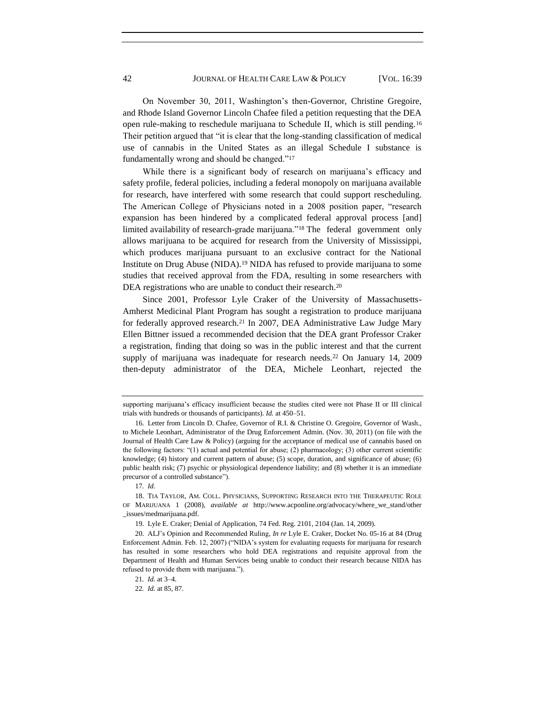On November 30, 2011, Washington's then-Governor, Christine Gregoire, and Rhode Island Governor Lincoln Chafee filed a petition requesting that the DEA open rule-making to reschedule marijuana to Schedule II, which is still pending.<sup>16</sup> Their petition argued that "it is clear that the long-standing classification of medical use of cannabis in the United States as an illegal Schedule I substance is fundamentally wrong and should be changed."<sup>17</sup>

<span id="page-4-0"></span>While there is a significant body of research on marijuana's efficacy and safety profile, federal policies, including a federal monopoly on marijuana available for research, have interfered with some research that could support rescheduling. The American College of Physicians noted in a 2008 position paper, "research expansion has been hindered by a complicated federal approval process [and] limited availability of research-grade marijuana."<sup>18</sup> The federal government only allows marijuana to be acquired for research from the University of Mississippi, which produces marijuana pursuant to an exclusive contract for the National Institute on Drug Abuse (NIDA).<sup>19</sup> NIDA has refused to provide marijuana to some studies that received approval from the FDA, resulting in some researchers with DEA registrations who are unable to conduct their research.<sup>20</sup>

Since 2001, Professor Lyle Craker of the University of Massachusetts-Amherst Medicinal Plant Program has sought a registration to produce marijuana for federally approved research.<sup>21</sup> In 2007, DEA Administrative Law Judge Mary Ellen Bittner issued a recommended decision that the DEA grant Professor Craker a registration, finding that doing so was in the public interest and that the current supply of marijuana was inadequate for research needs.<sup>22</sup> On January 14, 2009 then-deputy administrator of the DEA, Michele Leonhart, rejected the

supporting marijuana's efficacy insufficient because the studies cited were not Phase II or III clinical trials with hundreds or thousands of participants). *Id.* at 450–51.

<sup>16.</sup> Letter from Lincoln D. Chafee, Governor of R.I. & Christine O. Gregoire, Governor of Wash., to Michele Leonhart, Administrator of the Drug Enforcement Admin. (Nov. 30, 2011) (on file with the Journal of Health Care Law & Policy) (arguing for the acceptance of medical use of cannabis based on the following factors:  $(1)$  actual and potential for abuse; (2) pharmacology; (3) other current scientific knowledge; (4) history and current pattern of abuse; (5) scope, duration, and significance of abuse; (6) public health risk; (7) psychic or physiological dependence liability; and (8) whether it is an immediate precursor of a controlled substance").

<sup>17</sup>*. Id.*

<sup>18.</sup> TIA TAYLOR, AM. COLL. PHYSICIANS, SUPPORTING RESEARCH INTO THE THERAPEUTIC ROLE OF MARIJUANA 1 (2008), *available at* http://www.acponline.org/advocacy/where\_we\_stand/other \_issues/medmarijuana.pdf.

<sup>19.</sup> Lyle E. Craker; Denial of Application, 74 Fed. Reg. 2101, 2104 (Jan. 14, 2009).

<sup>20.</sup> ALJ's Opinion and Recommended Ruling, *In re* Lyle E. Craker, Docket No. 05-16 at 84 (Drug Enforcement Admin. Feb. 12, 2007) ("NIDA's system for evaluating requests for marijuana for research has resulted in some researchers who hold DEA registrations and requisite approval from the Department of Health and Human Services being unable to conduct their research because NIDA has refused to provide them with marijuana.").

<sup>21</sup>*. Id.* at 3–4.

<sup>22</sup>*. Id.* at 85, 87.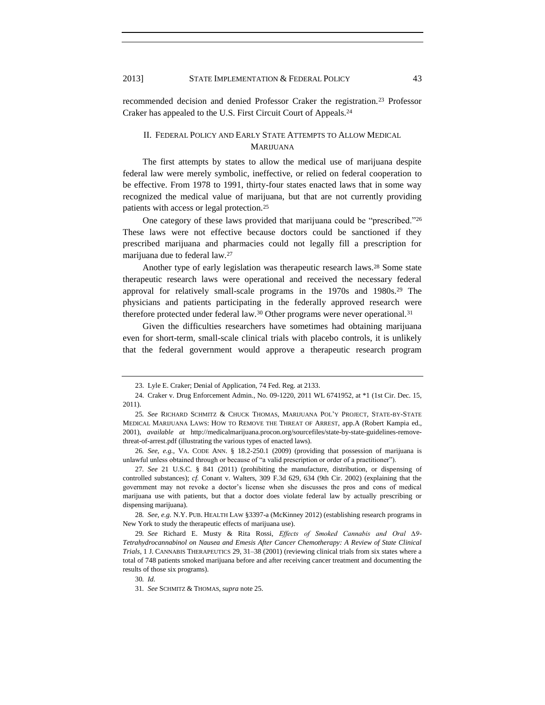recommended decision and denied Professor Craker the registration.<sup>23</sup> Professor Craker has appealed to the U.S. First Circuit Court of Appeals.<sup>24</sup>

### <span id="page-5-0"></span>II. FEDERAL POLICY AND EARLY STATE ATTEMPTS TO ALLOW MEDICAL **MARIJUANA**

The first attempts by states to allow the medical use of marijuana despite federal law were merely symbolic, ineffective, or relied on federal cooperation to be effective. From 1978 to 1991, thirty-four states enacted laws that in some way recognized the medical value of marijuana, but that are not currently providing patients with access or legal protection.<sup>25</sup>

One category of these laws provided that marijuana could be "prescribed."26 These laws were not effective because doctors could be sanctioned if they prescribed marijuana and pharmacies could not legally fill a prescription for marijuana due to federal law.<sup>27</sup>

Another type of early legislation was therapeutic research laws.<sup>28</sup> Some state therapeutic research laws were operational and received the necessary federal approval for relatively small-scale programs in the 1970s and 1980s.<sup>29</sup> The physicians and patients participating in the federally approved research were therefore protected under federal law.<sup>30</sup> Other programs were never operational.<sup>31</sup>

Given the difficulties researchers have sometimes had obtaining marijuana even for short-term, small-scale clinical trials with placebo controls, it is unlikely that the federal government would approve a therapeutic research program

26*. See, e.g.*, VA. CODE ANN. § 18.2-250.1 (2009) (providing that possession of marijuana is unlawful unless obtained through or because of "a valid prescription or order of a practitioner").

27*. See* 21 U.S.C. § 841 (2011) (prohibiting the manufacture, distribution, or dispensing of controlled substances); *cf.* Conant v. Walters, 309 F.3d 629, 634 (9th Cir. 2002) (explaining that the government may not revoke a doctor's license when she discusses the pros and cons of medical marijuana use with patients, but that a doctor does violate federal law by actually prescribing or dispensing marijuana).

28*. See, e.g.* N.Y. PUB. HEALTH LAW §3397-a (McKinney 2012) (establishing research programs in New York to study the therapeutic effects of marijuana use).

29*. See* Richard E. Musty & Rita Rossi, *Effects of Smoked Cannabis and Oral ∆9- Tetrahydrocannabinol on Nausea and Emesis After Cancer Chemotherapy: A Review of State Clinical Trials*, 1 J. CANNABIS THERAPEUTICS 29, 31–38 (2001) (reviewing clinical trials from six states where a total of 748 patients smoked marijuana before and after receiving cancer treatment and documenting the results of those six programs).

<sup>23.</sup> Lyle E. Craker; Denial of Application, 74 Fed. Reg. at 2133.

<sup>24.</sup> Craker v. Drug Enforcement Admin., No. 09-1220, 2011 WL 6741952, at \*1 (1st Cir. Dec. 15, 2011).

<sup>25</sup>*. See* RICHARD SCHMITZ & CHUCK THOMAS, MARIJUANA POL'Y PROJECT, STATE-BY-STATE MEDICAL MARIJUANA LAWS: HOW TO REMOVE THE THREAT OF ARREST, app.A (Robert Kampia ed., 2001), *available at* http://medicalmarijuana.procon.org/sourcefiles/state-by-state-guidelines-removethreat-of-arrest.pdf (illustrating the various types of enacted laws).

<sup>30</sup>*. Id.*

<sup>31</sup>*. See* SCHMITZ & THOMAS, *supra* not[e 25.](#page-5-0)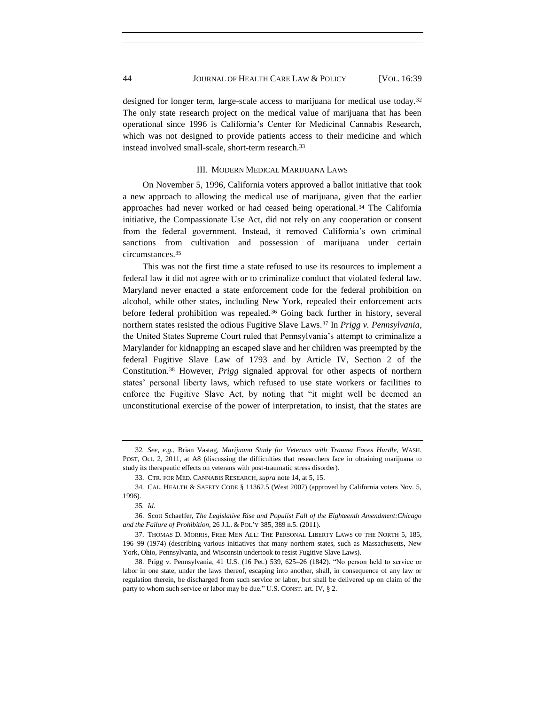designed for longer term, large-scale access to marijuana for medical use today.<sup>32</sup> The only state research project on the medical value of marijuana that has been operational since 1996 is California's Center for Medicinal Cannabis Research, which was not designed to provide patients access to their medicine and which instead involved small-scale, short-term research.<sup>33</sup>

#### III. MODERN MEDICAL MARIJUANA LAWS

On November 5, 1996, California voters approved a ballot initiative that took a new approach to allowing the medical use of marijuana, given that the earlier approaches had never worked or had ceased being operational.<sup>34</sup> The California initiative, the Compassionate Use Act, did not rely on any cooperation or consent from the federal government. Instead, it removed California's own criminal sanctions from cultivation and possession of marijuana under certain circumstances.<sup>35</sup>

This was not the first time a state refused to use its resources to implement a federal law it did not agree with or to criminalize conduct that violated federal law. Maryland never enacted a state enforcement code for the federal prohibition on alcohol, while other states, including New York, repealed their enforcement acts before federal prohibition was repealed.<sup>36</sup> Going back further in history, several northern states resisted the odious Fugitive Slave Laws.<sup>37</sup> In *Prigg v. Pennsylvania*, the United States Supreme Court ruled that Pennsylvania's attempt to criminalize a Marylander for kidnapping an escaped slave and her children was preempted by the federal Fugitive Slave Law of 1793 and by Article IV, Section 2 of the Constitution.<sup>38</sup> However, *Prigg* signaled approval for other aspects of northern states' personal liberty laws, which refused to use state workers or facilities to enforce the Fugitive Slave Act, by noting that "it might well be deemed an unconstitutional exercise of the power of interpretation, to insist, that the states are

<sup>32</sup>*. See, e.g.*, Brian Vastag, *Marijuana Study for Veterans with Trauma Faces Hurdle*, WASH. POST, Oct. 2, 2011, at A8 (discussing the difficulties that researchers face in obtaining marijuana to study its therapeutic effects on veterans with post-traumatic stress disorder).

<sup>33.</sup> CTR. FOR MED. CANNABIS RESEARCH, *supra* not[e 14,](#page-3-0) at 5, 15.

<sup>34.</sup> CAL. HEALTH & SAFETY CODE § 11362.5 (West 2007) (approved by California voters Nov. 5, 1996).

<sup>35</sup>*. Id.*

<sup>36.</sup> Scott Schaeffer, *The Legislative Rise and Populist Fall of the Eighteenth Amendment:Chicago and the Failure of Prohibition*, 26 J.L. & POL'Y 385, 389 n.5. (2011).

<sup>37.</sup> THOMAS D. MORRIS, FREE MEN ALL: THE PERSONAL LIBERTY LAWS OF THE NORTH 5, 185, 196–99 (1974) (describing various initiatives that many northern states, such as Massachusetts, New York, Ohio, Pennsylvania, and Wisconsin undertook to resist Fugitive Slave Laws).

<sup>38.</sup> Prigg v. Pennsylvania, 41 U.S. (16 Pet.) 539, 625–26 (1842). "No person held to service or labor in one state, under the laws thereof, escaping into another, shall, in consequence of any law or regulation therein, be discharged from such service or labor, but shall be delivered up on claim of the party to whom such service or labor may be due." U.S. CONST. art. IV,  $\S$  2.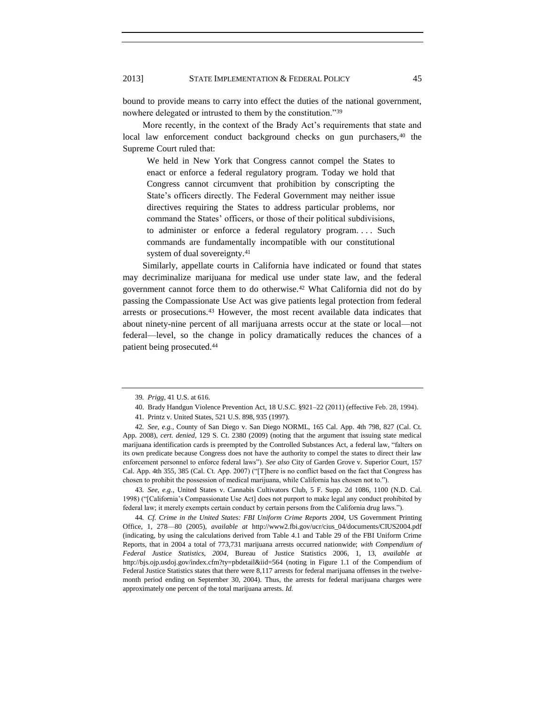bound to provide means to carry into effect the duties of the national government, nowhere delegated or intrusted to them by the constitution."39

More recently, in the context of the Brady Act's requirements that state and local law enforcement conduct background checks on gun purchasers,<sup>40</sup> the Supreme Court ruled that:

We held in New York that Congress cannot compel the States to enact or enforce a federal regulatory program. Today we hold that Congress cannot circumvent that prohibition by conscripting the State's officers directly. The Federal Government may neither issue directives requiring the States to address particular problems, nor command the States' officers, or those of their political subdivisions, to administer or enforce a federal regulatory program. . . . Such commands are fundamentally incompatible with our constitutional system of dual sovereignty.<sup>41</sup>

Similarly, appellate courts in California have indicated or found that states may decriminalize marijuana for medical use under state law, and the federal government cannot force them to do otherwise.<sup>42</sup> What California did not do by passing the Compassionate Use Act was give patients legal protection from federal arrests or prosecutions.<sup>43</sup> However, the most recent available data indicates that about ninety-nine percent of all marijuana arrests occur at the state or local—not federal—level, so the change in policy dramatically reduces the chances of a patient being prosecuted.<sup>44</sup>

43*. See, e.g.*, United States v. Cannabis Cultivators Club, 5 F. Supp. 2d 1086, 1100 (N.D. Cal. 1998) ("[California's Compassionate Use Act] does not purport to make legal any conduct prohibited by federal law; it merely exempts certain conduct by certain persons from the California drug laws.").

44*. Cf. Crime in the United States: FBI Uniform Crime Reports 2004,* US Government Printing Office, 1, 278—80 (2005), *available at* http://www2.fbi.gov/ucr/cius\_04/documents/CIUS2004.pdf (indicating, by using the calculations derived from Table 4.1 and Table 29 of the FBI Uniform Crime Reports, that in 2004 a total of 773,731 marijuana arrests occurred nationwide; *with Compendium of Federal Justice Statistics, 2004*, Bureau of Justice Statistics 2006, 1, 13, *available at* http://bjs.ojp.usdoj.gov/index.cfm?ty=pbdetail&iid=564 (noting in Figure 1.1 of the Compendium of Federal Justice Statistics states that there were 8,117 arrests for federal marijuana offenses in the twelvemonth period ending on September 30, 2004). Thus, the arrests for federal marijuana charges were approximately one percent of the total marijuana arrests. *Id.*

<sup>39</sup>*. Prigg*, 41 U.S. at 616.

<sup>40.</sup> Brady Handgun Violence Prevention Act, 18 U.S.C. §921–22 (2011) (effective Feb. 28, 1994).

<sup>41.</sup> Printz v. United States, 521 U.S. 898, 935 (1997).

<sup>42</sup>*. See, e.g.*, County of San Diego v. San Diego NORML, 165 Cal. App. 4th 798, 827 (Cal. Ct. App. 2008), *cert. denied*, 129 S. Ct. 2380 (2009) (noting that the argument that issuing state medical marijuana identification cards is preempted by the Controlled Substances Act, a federal law, "falters on its own predicate because Congress does not have the authority to compel the states to direct their law enforcement personnel to enforce federal laws‖). *See also* City of Garden Grove v. Superior Court, 157 Cal. App. 4th 355, 385 (Cal. Ct. App. 2007) ("[T]here is no conflict based on the fact that Congress has chosen to prohibit the possession of medical marijuana, while California has chosen not to.").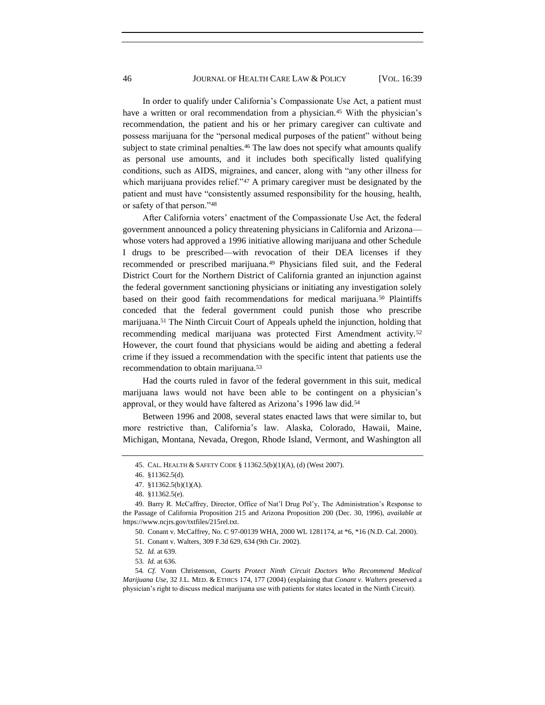In order to qualify under California's Compassionate Use Act, a patient must have a written or oral recommendation from a physician.<sup>45</sup> With the physician's recommendation, the patient and his or her primary caregiver can cultivate and possess marijuana for the "personal medical purposes of the patient" without being subject to state criminal penalties.<sup>46</sup> The law does not specify what amounts qualify as personal use amounts, and it includes both specifically listed qualifying conditions, such as AIDS, migraines, and cancer, along with "any other illness for which marijuana provides relief." $47$  A primary caregiver must be designated by the patient and must have "consistently assumed responsibility for the housing, health, or safety of that person."48

After California voters' enactment of the Compassionate Use Act, the federal government announced a policy threatening physicians in California and Arizona whose voters had approved a 1996 initiative allowing marijuana and other Schedule I drugs to be prescribed—with revocation of their DEA licenses if they recommended or prescribed marijuana.<sup>49</sup> Physicians filed suit, and the Federal District Court for the Northern District of California granted an injunction against the federal government sanctioning physicians or initiating any investigation solely based on their good faith recommendations for medical marijuana.<sup>50</sup> Plaintiffs conceded that the federal government could punish those who prescribe marijuana.<sup>51</sup> The Ninth Circuit Court of Appeals upheld the injunction, holding that recommending medical marijuana was protected First Amendment activity.<sup>52</sup> However, the court found that physicians would be aiding and abetting a federal crime if they issued a recommendation with the specific intent that patients use the recommendation to obtain marijuana.<sup>53</sup>

Had the courts ruled in favor of the federal government in this suit, medical marijuana laws would not have been able to be contingent on a physician's approval, or they would have faltered as Arizona's 1996 law did.<sup>54</sup>

Between 1996 and 2008, several states enacted laws that were similar to, but more restrictive than, California's law. Alaska, Colorado, Hawaii, Maine, Michigan, Montana, Nevada, Oregon, Rhode Island, Vermont, and Washington all

<sup>45.</sup> CAL. HEALTH & SAFETY CODE § 11362.5(b)(1)(A), (d) (West 2007).

<sup>46.</sup> §11362.5(d).

<sup>47.</sup> §11362.5(b)(1)(A).

<sup>48.</sup> §11362.5(e).

<sup>49.</sup> Barry R. McCaffrey, Director, Office of Nat'l Drug Pol'y, The Administration's Response to the Passage of California Proposition 215 and Arizona Proposition 200 (Dec. 30, 1996), *available at* https://www.ncjrs.gov/txtfiles/215rel.txt.

<sup>50.</sup> Conant v. McCaffrey, No. C 97-00139 WHA, 2000 WL 1281174, at \*6, \*16 (N.D. Cal. 2000).

<sup>51.</sup> Conant v. Walters, 309 F.3d 629, 634 (9th Cir. 2002).

<sup>52</sup>*. Id.* at 639.

<sup>53</sup>*. Id.* at 636.

<sup>54</sup>*. Cf.* Vonn Christenson, *Courts Protect Ninth Circuit Doctors Who Recommend Medical Marijuana Use*, 32 J.L. MED. & ETHICS 174, 177 (2004) (explaining that *Conant v. Walters* preserved a physician's right to discuss medical marijuana use with patients for states located in the Ninth Circuit).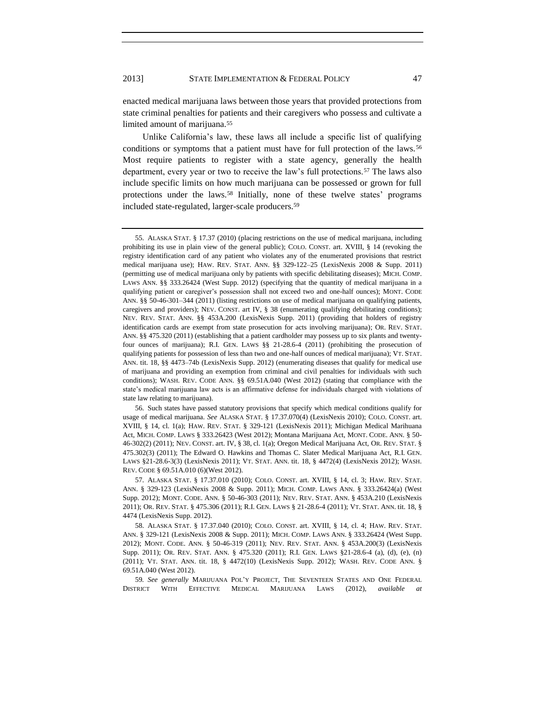enacted medical marijuana laws between those years that provided protections from state criminal penalties for patients and their caregivers who possess and cultivate a limited amount of marijuana.<sup>55</sup>

Unlike California's law, these laws all include a specific list of qualifying conditions or symptoms that a patient must have for full protection of the laws.<sup>56</sup> Most require patients to register with a state agency, generally the health department, every year or two to receive the law's full protections.<sup>57</sup> The laws also include specific limits on how much marijuana can be possessed or grown for full protections under the laws.<sup>58</sup> Initially, none of these twelve states' programs included state-regulated, larger-scale producers.<sup>59</sup>

56. Such states have passed statutory provisions that specify which medical conditions qualify for usage of medical marijuana. *See* ALASKA STAT. § 17.37.070(4) (LexisNexis 2010); COLO. CONST. art. XVIII, § 14, cl. 1(a); HAW. REV. STAT. § 329-121 (LexisNexis 2011); Michigan Medical Marihuana Act, MICH. COMP. LAWS § 333.26423 (West 2012); Montana Marijuana Act, MONT. CODE. ANN. § 50- 46-302(2) (2011); NEV. CONST. art. IV, § 38, cl. 1(a); Oregon Medical Marijuana Act, OR. REV. STAT. § 475.302(3) (2011); The Edward O. Hawkins and Thomas C. Slater Medical Marijuana Act, R.I. GEN. LAWS §21-28.6-3(3) (LexisNexis 2011); VT. STAT. ANN. tit. 18, § 4472(4) (LexisNexis 2012); WASH. REV. CODE § 69.51A.010 (6)(West 2012).

57. ALASKA STAT. § 17.37.010 (2010); COLO. CONST. art. XVIII, § 14, cl. 3; HAW. REV. STAT. ANN. § 329-123 (LexisNexis 2008 & Supp. 2011); MICH. COMP. LAWS ANN. § 333.26424(a) (West Supp. 2012); MONT. CODE. ANN. § 50-46-303 (2011); NEV. REV. STAT. ANN. § 453A.210 (LexisNexis 2011); OR. REV. STAT. § 475.306 (2011); R.I. GEN. LAWS § 21-28.6-4 (2011); VT. STAT. ANN. tit. 18, § 4474 (LexisNexis Supp. 2012).

58. ALASKA STAT. § 17.37.040 (2010); COLO. CONST. art. XVIII, § 14, cl. 4; HAW. REV. STAT. ANN. § 329-121 (LexisNexis 2008 & Supp. 2011); MICH. COMP. LAWS ANN. § 333.26424 (West Supp. 2012); MONT. CODE. ANN. § 50-46-319 (2011); NEV. REV. STAT. ANN. § 453A.200(3) (LexisNexis Supp. 2011); OR. REV. STAT. ANN. § 475.320 (2011); R.I. GEN. LAWS §21-28.6-4 (a), (d), (e), (n) (2011); VT. STAT. ANN. tit. 18, § 4472(10) (LexisNexis Supp. 2012); WASH. REV. CODE ANN. § 69.51A.040 (West 2012).

59*. See generally* MARIJUANA POL'Y PROJECT, THE SEVENTEEN STATES AND ONE FEDERAL DISTRICT WITH EFFECTIVE MEDICAL MARIJUANA LAWS (2012), *available* 

<sup>55.</sup> ALASKA STAT. § 17.37 (2010) (placing restrictions on the use of medical marijuana, including prohibiting its use in plain view of the general public); COLO. CONST. art. XVIII, § 14 (revoking the registry identification card of any patient who violates any of the enumerated provisions that restrict medical marijuana use); HAW. REV. STAT. ANN. §§ 329-122–25 (LexisNexis 2008 & Supp. 2011) (permitting use of medical marijuana only by patients with specific debilitating diseases); MICH. COMP. LAWS ANN. §§ 333.26424 (West Supp. 2012) (specifying that the quantity of medical marijuana in a qualifying patient or caregiver's possession shall not exceed two and one-half ounces); MONT. CODE ANN. §§ 50-46-301–344 (2011) (listing restrictions on use of medical marijuana on qualifying patients, caregivers and providers); NEV. CONST. art IV, § 38 (enumerating qualifying debilitating conditions); NEV. REV. STAT. ANN. §§ 453A.200 (LexisNexis Supp. 2011) (providing that holders of registry identification cards are exempt from state prosecution for acts involving marijuana); OR. REV. STAT. ANN. §§ 475.320 (2011) (establishing that a patient cardholder may possess up to six plants and twentyfour ounces of marijuana); R.I. GEN. LAWS §§ 21-28.6-4 (2011) (prohibiting the prosecution of qualifying patients for possession of less than two and one-half ounces of medical marijuana); VT. STAT. ANN. tit. 18, §§ 4473–74b (LexisNexis Supp. 2012) (enumerating diseases that qualify for medical use of marijuana and providing an exemption from criminal and civil penalties for individuals with such conditions); WASH. REV. CODE ANN. §§ 69.51A.040 (West 2012) (stating that compliance with the state's medical marijuana law acts is an affirmative defense for individuals charged with violations of state law relating to marijuana).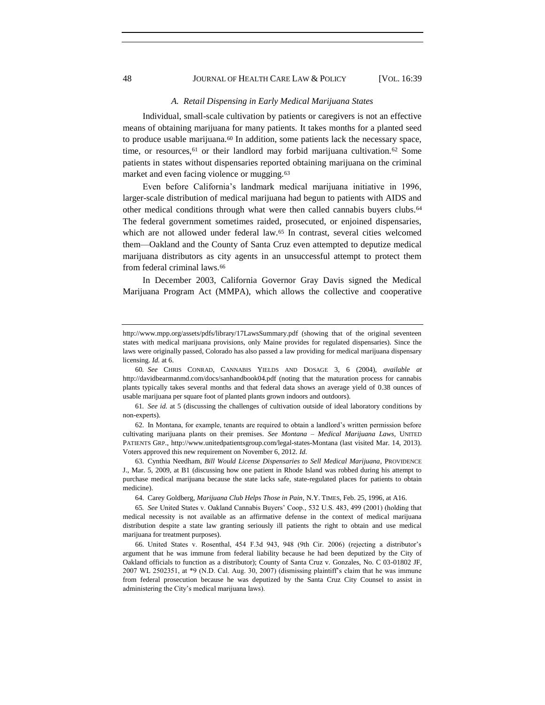## 48 JOURNAL OF HEALTH CARE LAW & POLICY [VOL. 16:39

#### <span id="page-10-1"></span><span id="page-10-0"></span>*A. Retail Dispensing in Early Medical Marijuana States*

Individual, small-scale cultivation by patients or caregivers is not an effective means of obtaining marijuana for many patients. It takes months for a planted seed to produce usable marijuana.<sup>60</sup> In addition, some patients lack the necessary space, time, or resources,<sup>61</sup> or their landlord may forbid marijuana cultivation.<sup>62</sup> Some patients in states without dispensaries reported obtaining marijuana on the criminal market and even facing violence or mugging.<sup>63</sup>

Even before California's landmark medical marijuana initiative in 1996, larger-scale distribution of medical marijuana had begun to patients with AIDS and other medical conditions through what were then called cannabis buyers clubs.<sup>64</sup> The federal government sometimes raided, prosecuted, or enjoined dispensaries, which are not allowed under federal law.<sup>65</sup> In contrast, several cities welcomed them—Oakland and the County of Santa Cruz even attempted to deputize medical marijuana distributors as city agents in an unsuccessful attempt to protect them from federal criminal laws.<sup>66</sup>

In December 2003, California Governor Gray Davis signed the Medical Marijuana Program Act (MMPA), which allows the collective and cooperative

http://www.mpp.org/assets/pdfs/library/17LawsSummary.pdf (showing that of the original seventeen states with medical marijuana provisions, only Maine provides for regulated dispensaries). Since the laws were originally passed, Colorado has also passed a law providing for medical marijuana dispensary licensing. *Id.* at 6.

<sup>60</sup>*. See* CHRIS CONRAD, CANNABIS YIELDS AND DOSAGE 3, 6 (2004), *available at* http://davidbearmanmd.com/docs/sanhandbook04.pdf (noting that the maturation process for cannabis plants typically takes several months and that federal data shows an average yield of 0.38 ounces of usable marijuana per square foot of planted plants grown indoors and outdoors).

<sup>61</sup>*. See id.* at 5 (discussing the challenges of cultivation outside of ideal laboratory conditions by non-experts).

<sup>62.</sup> In Montana, for example, tenants are required to obtain a landlord's written permission before cultivating marijuana plants on their premises. *See Montana – Medical Marijuana Laws*, UNITED PATIENTS GRP., http://www.unitedpatientsgroup.com/legal-states-Montana (last visited Mar. 14, 2013). Voters approved this new requirement on November 6, 2012. *Id.*

<sup>63.</sup> Cynthia Needham, *Bill Would License Dispensaries to Sell Medical Marijuana*, PROVIDENCE J., Mar. 5, 2009, at B1 (discussing how one patient in Rhode Island was robbed during his attempt to purchase medical marijuana because the state lacks safe, state-regulated places for patients to obtain medicine).

<sup>64.</sup> Carey Goldberg, *Marijuana Club Helps Those in Pain*, N.Y. TIMES, Feb. 25, 1996, at A16.

<sup>65</sup>*. See* United States v. Oakland Cannabis Buyers' Coop., 532 U.S. 483, 499 (2001) (holding that medical necessity is not available as an affirmative defense in the context of medical marijuana distribution despite a state law granting seriously ill patients the right to obtain and use medical marijuana for treatment purposes).

<sup>66.</sup> United States v. Rosenthal, 454 F.3d 943, 948 (9th Cir. 2006) (rejecting a distributor's argument that he was immune from federal liability because he had been deputized by the City of Oakland officials to function as a distributor); County of Santa Cruz v. Gonzales, No. C 03-01802 JF, 2007 WL 2502351, at \*9 (N.D. Cal. Aug. 30, 2007) (dismissing plaintiff's claim that he was immune from federal prosecution because he was deputized by the Santa Cruz City Counsel to assist in administering the City's medical marijuana laws).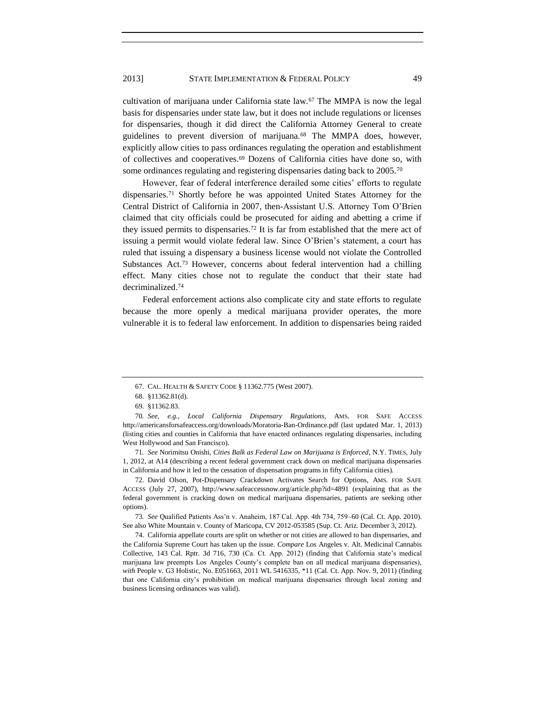## 2013] STATE IMPLEMENTATION & FEDERAL POLICY 49

cultivation of marijuana under California state law.<sup>67</sup> The MMPA is now the legal basis for dispensaries under state law, but it does not include regulations or licenses for dispensaries, though it did direct the California Attorney General to create guidelines to prevent diversion of marijuana.<sup>68</sup> The MMPA does, however, explicitly allow cities to pass ordinances regulating the operation and establishment of collectives and cooperatives.<sup>69</sup> Dozens of California cities have done so, with some ordinances regulating and registering dispensaries dating back to 2005.<sup>70</sup>

<span id="page-11-0"></span>However, fear of federal interference derailed some cities' efforts to regulate dispensaries.<sup>71</sup> Shortly before he was appointed United States Attorney for the Central District of California in 2007, then-Assistant U.S. Attorney Tom O'Brien claimed that city officials could be prosecuted for aiding and abetting a crime if they issued permits to dispensaries.<sup>72</sup> It is far from established that the mere act of issuing a permit would violate federal law. Since O'Brien's statement, a court has ruled that issuing a dispensary a business license would not violate the Controlled Substances Act.<sup>73</sup> However, concerns about federal intervention had a chilling effect. Many cities chose not to regulate the conduct that their state had decriminalized.<sup>74</sup>

Federal enforcement actions also complicate city and state efforts to regulate because the more openly a medical marijuana provider operates, the more vulnerable it is to federal law enforcement. In addition to dispensaries being raided

72. David Olson, Pot-Dispensary Crackdown Activates Search for Options, AMS. FOR SAFE ACCESS (July 27, 2007), http://www.safeaccessnow.org/article.php?id=4891 (explaining that as the federal government is cracking down on medical marijuana dispensaries, patients are seeking other options).

73*. See* Qualified Patients Ass'n v. Anaheim, 187 Cal. App. 4th 734, 759–60 (Cal. Ct. App. 2010). See also White Mountain v. County of Maricopa, CV 2012-053585 (Sup. Ct. Ariz. December 3, 2012).

74. California appellate courts are split on whether or not cities are allowed to ban dispensaries, and the California Supreme Court has taken up the issue. *Compare* Los Angeles v. Alt. Medicinal Cannabis Collective, 143 Cal. Rptr. 3d 716, 730 (Ca. Ct. App. 2012) (finding that California state's medical marijuana law preempts Los Angeles County's complete ban on all medical marijuana dispensaries), *with* People v. G3 Holistic, No. E051663, 2011 WL 5416335, \*11 (Cal. Ct. App. Nov. 9, 2011) (finding that one California city's prohibition on medical marijuana dispensaries through local zoning and business licensing ordinances was valid).

<sup>67.</sup> CAL. HEALTH & SAFETY CODE § 11362.775 (West 2007).

<sup>68.</sup> §11362.81(d).

<sup>69.</sup> §11362.83.

<sup>70</sup>*. See, e.g.*, *Local California Dispensary Regulations*, AMS. FOR SAFE ACCESS http://americansforsafeaccess.org/downloads/Moratoria-Ban-Ordinance.pdf (last updated Mar. 1, 2013) (listing cities and counties in California that have enacted ordinances regulating dispensaries, including West Hollywood and San Francisco).

<sup>71</sup>*. See* Norimitsu Onishi, *Cities Balk as Federal Law on Marijuana is Enforced*, N.Y. TIMES, July 1, 2012, at A14 (describing a recent federal government crack down on medical marijuana dispensaries in California and how it led to the cessation of dispensation programs in fifty California cities).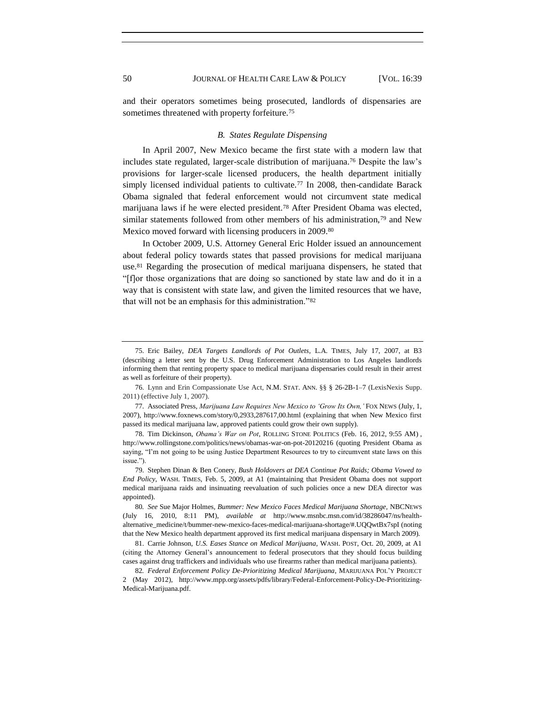and their operators sometimes being prosecuted, landlords of dispensaries are sometimes threatened with property forfeiture.<sup>75</sup>

#### *B. States Regulate Dispensing*

In April 2007, New Mexico became the first state with a modern law that includes state regulated, larger-scale distribution of marijuana.<sup>76</sup> Despite the law's provisions for larger-scale licensed producers, the health department initially simply licensed individual patients to cultivate.<sup>77</sup> In 2008, then-candidate Barack Obama signaled that federal enforcement would not circumvent state medical marijuana laws if he were elected president.<sup>78</sup> After President Obama was elected, similar statements followed from other members of his administration,<sup>79</sup> and New Mexico moved forward with licensing producers in 2009.<sup>80</sup>

In October 2009, U.S. Attorney General Eric Holder issued an announcement about federal policy towards states that passed provisions for medical marijuana use.<sup>81</sup> Regarding the prosecution of medical marijuana dispensers, he stated that ―[f]or those organizations that are doing so sanctioned by state law and do it in a way that is consistent with state law, and given the limited resources that we have, that will not be an emphasis for this administration."<sup>82</sup>

<sup>75.</sup> Eric Bailey, *DEA Targets Landlords of Pot Outlets*, L.A. TIMES, July 17, 2007, at B3 (describing a letter sent by the U.S. Drug Enforcement Administration to Los Angeles landlords informing them that renting property space to medical marijuana dispensaries could result in their arrest as well as forfeiture of their property).

<sup>76.</sup> Lynn and Erin Compassionate Use Act, N.M. STAT. ANN. §§ § 26-2B-1–7 (LexisNexis Supp. 2011) (effective July 1, 2007).

<sup>77.</sup> Associated Press, *Marijuana Law Requires New Mexico to 'Grow Its Own,'* FOX NEWS (July, 1, 2007), http://www.foxnews.com/story/0,2933,287617,00.html (explaining that when New Mexico first passed its medical marijuana law, approved patients could grow their own supply).

<sup>78.</sup> Tim Dickinson, *Obama's War on Pot*, ROLLING STONE POLITICS (Feb. 16, 2012, 9:55 AM) , http://www.rollingstone.com/politics/news/obamas-war-on-pot-20120216 (quoting President Obama as saying, "I'm not going to be using Justice Department Resources to try to circumvent state laws on this issue.")

<sup>79.</sup> Stephen Dinan & Ben Conery, *Bush Holdovers at DEA Continue Pot Raids; Obama Vowed to End Policy*, WASH. TIMES, Feb. 5, 2009, at A1 (maintaining that President Obama does not support medical marijuana raids and insinuating reevaluation of such policies once a new DEA director was appointed).

<sup>80</sup>*. See* Sue Major Holmes*, Bummer: New Mexico Faces Medical Marijuana Shortage,* NBCNEWS (July 16, 2010, 8:11 PM), *available at* http://www.msnbc.msn.com/id/38286047/ns/healthalternative\_medicine/t/bummer-new-mexico-faces-medical-marijuana-shortage/#.UQQwtBx7spI (noting that the New Mexico health department approved its first medical marijuana dispensary in March 2009).

<sup>81.</sup> Carrie Johnson, *U.S. Eases Stance on Medical Marijuana*, WASH. POST, Oct. 20, 2009, at A1 (citing the Attorney General's announcement to federal prosecutors that they should focus building cases against drug traffickers and individuals who use firearms rather than medical marijuana patients).

<sup>82</sup>*. Federal Enforcement Policy De-Prioritizing Medical Marijuana*, MARIJUANA POL'Y PROJECT 2 (May 2012), http://www.mpp.org/assets/pdfs/library/Federal-Enforcement-Policy-De-Prioritizing-Medical-Marijuana.pdf.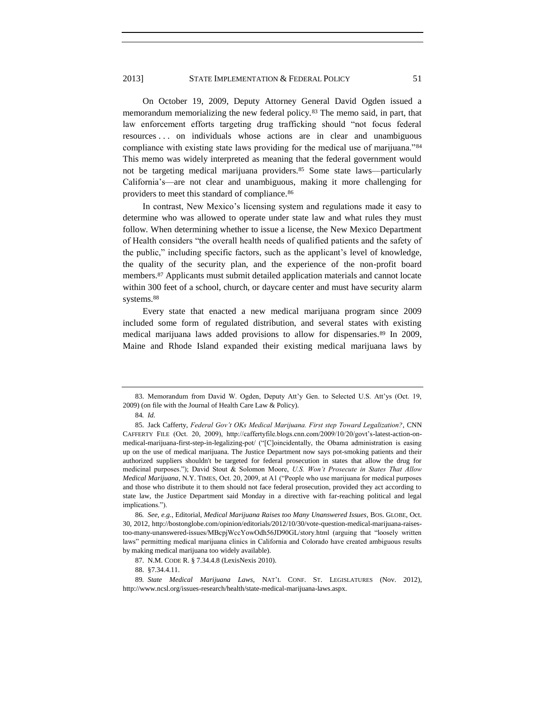<span id="page-13-1"></span>On October 19, 2009, Deputy Attorney General David Ogden issued a memorandum memorializing the new federal policy.<sup>83</sup> The memo said, in part, that law enforcement efforts targeting drug trafficking should "not focus federal resources . . . on individuals whose actions are in clear and unambiguous compliance with existing state laws providing for the medical use of marijuana.<sup>84</sup> This memo was widely interpreted as meaning that the federal government would not be targeting medical marijuana providers.<sup>85</sup> Some state laws—particularly California's—are not clear and unambiguous, making it more challenging for providers to meet this standard of compliance.<sup>86</sup>

In contrast, New Mexico's licensing system and regulations made it easy to determine who was allowed to operate under state law and what rules they must follow. When determining whether to issue a license, the New Mexico Department of Health considers "the overall health needs of qualified patients and the safety of the public," including specific factors, such as the applicant's level of knowledge, the quality of the security plan, and the experience of the non-profit board members.<sup>87</sup> Applicants must submit detailed application materials and cannot locate within 300 feet of a school, church, or daycare center and must have security alarm systems.<sup>88</sup>

<span id="page-13-0"></span>Every state that enacted a new medical marijuana program since 2009 included some form of regulated distribution, and several states with existing medical marijuana laws added provisions to allow for dispensaries.<sup>89</sup> In 2009, Maine and Rhode Island expanded their existing medical marijuana laws by

88. §7.34.4.11.

<sup>83.</sup> Memorandum from David W. Ogden, Deputy Att'y Gen. to Selected U.S. Att'ys (Oct. 19, 2009) (on file with the Journal of Health Care Law & Policy).

<sup>84</sup>*. Id.*

<sup>85.</sup> Jack Cafferty, *Federal Gov't OKs Medical Marijuana. First step Toward Legalization?*, CNN CAFFERTY FILE (Oct. 20, 2009), http://caffertyfile.blogs.cnn.com/2009/10/20/govt's-latest-action-onmedical-marijuana-first-step-in-legalizing-pot/ ("[C]oincidentally, the Obama administration is easing up on the use of medical marijuana. The Justice Department now says pot-smoking patients and their authorized suppliers shouldn't be targeted for federal prosecution in states that allow the drug for medicinal purposes.‖); David Stout & Solomon Moore, *U.S. Won't Prosecute in States That Allow Medical Marijuana*, N.Y. TIMES, Oct. 20, 2009, at A1 ("People who use marijuana for medical purposes and those who distribute it to them should not face federal prosecution, provided they act according to state law, the Justice Department said Monday in a directive with far-reaching political and legal implications.").

<sup>86</sup>*. See, e.g.*, Editorial, *Medical Marijuana Raises too Many Unanswered Issues*, BOS. GLOBE, Oct. 30, 2012, http://bostonglobe.com/opinion/editorials/2012/10/30/vote-question-medical-marijuana-raisestoo-many-unanswered-issues/MBcpjWccYowOdh56JD90GL/story.html (arguing that "loosely written laws" permitting medical marijuana clinics in California and Colorado have created ambiguous results by making medical marijuana too widely available).

<sup>87.</sup> N.M. CODE R. § 7.34.4.8 (LexisNexis 2010).

<sup>89</sup>*. State Medical Marijuana Laws*, NAT'L CONF. ST. LEGISLATURES (Nov. 2012), http://www.ncsl.org/issues-research/health/state-medical-marijuana-laws.aspx.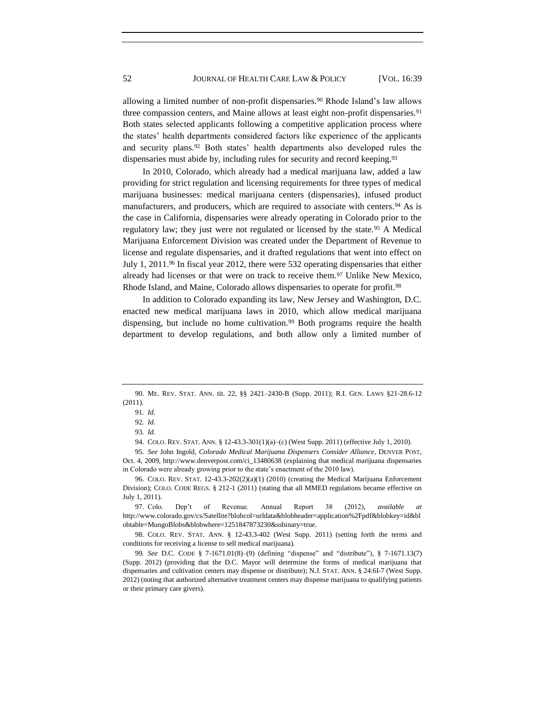allowing a limited number of non-profit dispensaries.<sup>90</sup> Rhode Island's law allows three compassion centers, and Maine allows at least eight non-profit dispensaries.<sup>91</sup> Both states selected applicants following a competitive application process where the states' health departments considered factors like experience of the applicants and security plans.<sup>92</sup> Both states' health departments also developed rules the dispensaries must abide by, including rules for security and record keeping.<sup>93</sup>

<span id="page-14-0"></span>In 2010, Colorado, which already had a medical marijuana law, added a law providing for strict regulation and licensing requirements for three types of medical marijuana businesses: medical marijuana centers (dispensaries), infused product manufacturers, and producers, which are required to associate with centers.<sup>94</sup> As is the case in California, dispensaries were already operating in Colorado prior to the regulatory law; they just were not regulated or licensed by the state.<sup>95</sup> A Medical Marijuana Enforcement Division was created under the Department of Revenue to license and regulate dispensaries, and it drafted regulations that went into effect on July 1, 2011.<sup>96</sup> In fiscal year 2012, there were 532 operating dispensaries that either already had licenses or that were on track to receive them.<sup>97</sup> Unlike New Mexico, Rhode Island, and Maine, Colorado allows dispensaries to operate for profit.<sup>98</sup>

In addition to Colorado expanding its law, New Jersey and Washington, D.C. enacted new medical marijuana laws in 2010, which allow medical marijuana dispensing, but include no home cultivation.<sup>99</sup> Both programs require the health department to develop regulations, and both allow only a limited number of

95*. See* John Ingold, *Colorado Medical Marijuana Dispensers Consider Alliance*, DENVER POST, Oct. 4, 2009, http://www.denverpost.com/ci\_13480638 (explaining that medical marijuana dispensaries in Colorado were already growing prior to the state's enactment of the 2010 law).

96. COLO. REV. STAT. 12-43.3-202(2)(a)(1) (2010) (creating the Medical Marijuana Enforcement Division); COLO. CODE REGS. § 212-1 (2011) (stating that all MMED regulations became effective on July 1, 2011).

97. Colo. Dep't of Revenue. Annual Report 38 (2012), *available* http://www.colorado.gov/cs/Satellite?blobcol=urldata&blobheader=application%2Fpdf&blobkey=id&bl obtable=MungoBlobs&blobwhere=1251847873230&ssbinary=true.

98. COLO. REV. STAT. ANN. § 12-43.3-402 (West Supp. 2011) (setting forth the terms and conditions for receiving a license to sell medical marijuana).

99. *See* D.C. CODE § 7-1671.01(8)-(9) (defining "dispense" and "distribute"), § 7-1671.13(7) (Supp. 2012) (providing that the D.C. Mayor will determine the forms of medical marijuana that dispensaries and cultivation centers may dispense or distribute); N.J. STAT. ANN. § 24:6I-7 (West Supp. 2012) (noting that authorized alternative treatment centers may dispense marijuana to qualifying patients or their primary care givers).

<sup>90.</sup> ME. REV. STAT. ANN. tit. 22, §§ 2421–2430-B (Supp. 2011); R.I. GEN. LAWS §21-28.6-12 (2011).

<sup>91</sup>*. Id.*

<sup>92</sup>*. Id.*

<sup>93</sup>*. Id.*

<sup>94.</sup> COLO. REV. STAT. ANN. § 12-43.3-301(1)(a)–(c) (West Supp. 2011) (effective July 1, 2010).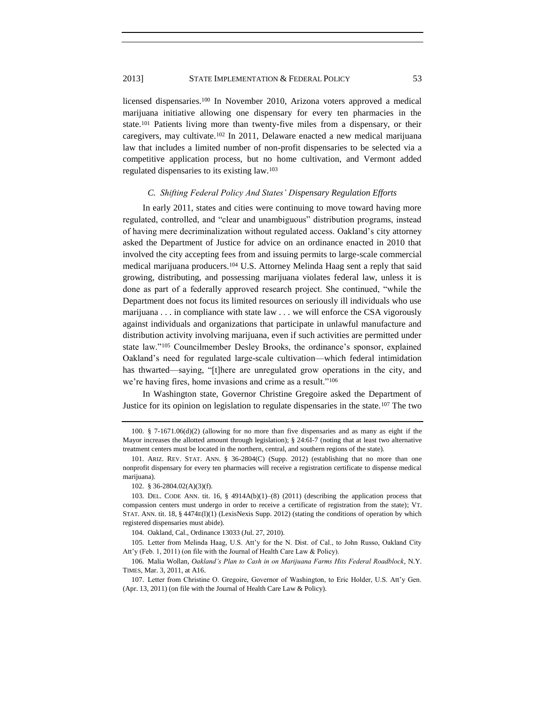#### 2013] STATE IMPLEMENTATION & FEDERAL POLICY 53

licensed dispensaries.<sup>100</sup> In November 2010, Arizona voters approved a medical marijuana initiative allowing one dispensary for every ten pharmacies in the state.<sup>101</sup> Patients living more than twenty-five miles from a dispensary, or their caregivers, may cultivate.<sup>102</sup> In 2011, Delaware enacted a new medical marijuana law that includes a limited number of non-profit dispensaries to be selected via a competitive application process, but no home cultivation, and Vermont added regulated dispensaries to its existing law.<sup>103</sup>

#### *C. Shifting Federal Policy And States' Dispensary Regulation Efforts*

In early 2011, states and cities were continuing to move toward having more regulated, controlled, and "clear and unambiguous" distribution programs, instead of having mere decriminalization without regulated access. Oakland's city attorney asked the Department of Justice for advice on an ordinance enacted in 2010 that involved the city accepting fees from and issuing permits to large-scale commercial medical marijuana producers.<sup>104</sup> U.S. Attorney Melinda Haag sent a reply that said growing, distributing, and possessing marijuana violates federal law, unless it is done as part of a federally approved research project. She continued, "while the Department does not focus its limited resources on seriously ill individuals who use marijuana . . . in compliance with state law . . . we will enforce the CSA vigorously against individuals and organizations that participate in unlawful manufacture and distribution activity involving marijuana, even if such activities are permitted under state law."<sup>105</sup> Councilmember Desley Brooks, the ordinance's sponsor, explained Oakland's need for regulated large-scale cultivation—which federal intimidation has thwarted—saying, "[t]here are unregulated grow operations in the city, and we're having fires, home invasions and crime as a result."<sup>106</sup>

<span id="page-15-0"></span>In Washington state, Governor Christine Gregoire asked the Department of Justice for its opinion on legislation to regulate dispensaries in the state.<sup>107</sup> The two

<sup>100.</sup> § 7-1671.06(d)(2) (allowing for no more than five dispensaries and as many as eight if the Mayor increases the allotted amount through legislation); § 24:6I-7 (noting that at least two alternative treatment centers must be located in the northern, central, and southern regions of the state).

<sup>101.</sup> ARIZ. REV. STAT. ANN. § 36-2804(C) (Supp. 2012) (establishing that no more than one nonprofit dispensary for every ten pharmacies will receive a registration certificate to dispense medical marijuana).

<sup>102.</sup> § 36-2804.02(A)(3)(f).

<sup>103.</sup> DEL. CODE ANN. tit. 16,  $\S$  4914A(b)(1)–(8) (2011) (describing the application process that compassion centers must undergo in order to receive a certificate of registration from the state); VT. STAT. ANN. tit. 18, § 4474E(l)(1) (LexisNexis Supp. 2012) (stating the conditions of operation by which registered dispensaries must abide).

<sup>104.</sup> Oakland, Cal., Ordinance 13033 (Jul. 27, 2010).

<sup>105.</sup> Letter from Melinda Haag, U.S. Att'y for the N. Dist. of Cal., to John Russo, Oakland City Att'y (Feb. 1, 2011) (on file with the Journal of Health Care Law & Policy).

<sup>106.</sup> Malia Wollan, *Oakland's Plan to Cash in on Marijuana Farms Hits Federal Roadblock*, N.Y. TIMES, Mar. 3, 2011, at A16.

<sup>107.</sup> Letter from Christine O. Gregoire, Governor of Washington, to Eric Holder, U.S. Att'y Gen. (Apr. 13, 2011) (on file with the Journal of Health Care Law & Policy).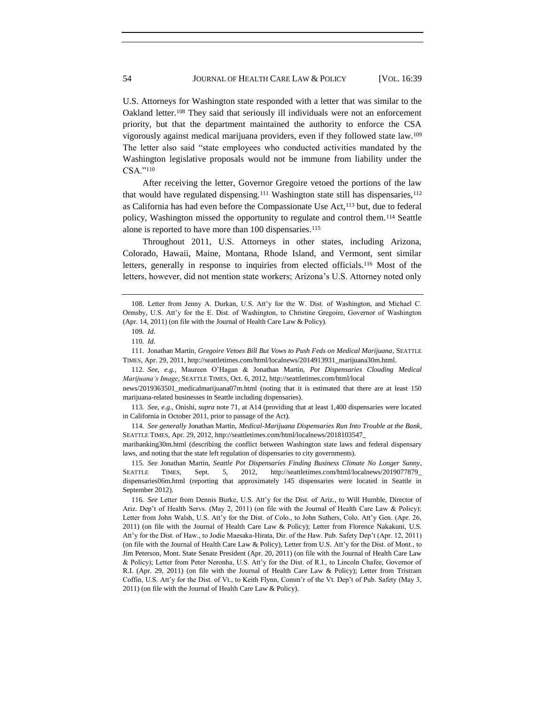U.S. Attorneys for Washington state responded with a letter that was similar to the Oakland letter.<sup>108</sup> They said that seriously ill individuals were not an enforcement priority, but that the department maintained the authority to enforce the CSA vigorously against medical marijuana providers, even if they followed state law.<sup>109</sup> The letter also said "state employees who conducted activities mandated by the Washington legislative proposals would not be immune from liability under the CSA."110

After receiving the letter, Governor Gregoire vetoed the portions of the law that would have regulated dispensing.<sup>111</sup> Washington state still has dispensaries,<sup>112</sup> as California has had even before the Compassionate Use Act,<sup>113</sup> but, due to federal policy, Washington missed the opportunity to regulate and control them.<sup>114</sup> Seattle alone is reported to have more than 100 dispensaries.<sup>115</sup>

<span id="page-16-0"></span>Throughout 2011, U.S. Attorneys in other states, including Arizona, Colorado, Hawaii, Maine, Montana, Rhode Island, and Vermont, sent similar letters, generally in response to inquiries from elected officials.<sup>116</sup> Most of the letters, however, did not mention state workers; Arizona's U.S. Attorney noted only

112*. See, e.g.*, Maureen O'Hagan & Jonathan Martin, *Pot Dispensaries Clouding Medical Marijuana's Image*, SEATTLE TIMES, Oct. 6, 2012, http://seattletimes.com/html/local

news/2019363501\_medicalmarijuana07m.html (noting that it is estimated that there are at least 150 marijuana-related businesses in Seattle including dispensaries).

113*. See, e.g.*, Onishi, *supra* not[e 71,](#page-11-0) at A14 (providing that at least 1,400 dispensaries were located in California in October 2011, prior to passage of the Act).

114*. See generally* Jonathan Martin, *Medical-Marijuana Dispensaries Run Into Trouble at the Bank*, SEATTLE TIMES, Apr. 29, 2012, http://seattletimes.com/html/localnews/2018103547\_

maribanking30m.html (describing the conflict between Washington state laws and federal dispensary laws, and noting that the state left regulation of dispensaries to city governments).

115*. See* Jonathan Martin, *Seattle Pot Dispensaries Finding Business Climate No Longer Sunny*, SEATTLE TIMES, Sept. 5, 2012, http://seattletimes.com/html/localnews/2019077879\_ dispensaries06m.html (reporting that approximately 145 dispensaries were located in Seattle in September 2012).

<sup>108.</sup> Letter from Jenny A. Durkan, U.S. Att'y for the W. Dist. of Washington, and Michael C. Ormsby, U.S. Att'y for the E. Dist. of Washington, to Christine Gregoire, Governor of Washington (Apr. 14, 2011) (on file with the Journal of Health Care Law & Policy).

<sup>109</sup>*. Id.*

<sup>110</sup>*. Id.* 

<sup>111.</sup> Jonathan Martin, *Gregoire Vetoes Bill But Vows to Push Feds on Medical Marijuana*, SEATTLE TIMES, Apr. 29, 2011, http://seattletimes.com/html/localnews/2014913931\_marijuana30m.html.

<sup>116</sup>*. See* Letter from Dennis Burke, U.S. Att'y for the Dist. of Ariz., to Will Humble, Director of Ariz. Dep't of Health Servs. (May 2, 2011) (on file with the Journal of Health Care Law & Policy); Letter from John Walsh, U.S. Att'y for the Dist. of Colo., to John Suthers, Colo. Att'y Gen. (Apr. 26, 2011) (on file with the Journal of Health Care Law & Policy); Letter from Florence Nakakuni, U.S. Att'y for the Dist. of Haw., to Jodie Maesaka-Hirata, Dir. of the Haw. Pub. Safety Dep't (Apr. 12, 2011) (on file with the Journal of Health Care Law & Policy), Letter from U.S. Att'y for the Dist. of Mont., to Jim Peterson, Mont. State Senate President (Apr. 20, 2011) (on file with the Journal of Health Care Law & Policy); Letter from Peter Neronha, U.S. Att'y for the Dist. of R.I., to Lincoln Chafee, Governor of R.I. (Apr. 29, 2011) (on file with the Journal of Health Care Law & Policy); Letter from Tristram Coffin, U.S. Att'y for the Dist. of Vt., to Keith Flynn, Comm'r of the Vt. Dep't of Pub. Safety (May 3, 2011) (on file with the Journal of Health Care Law & Policy).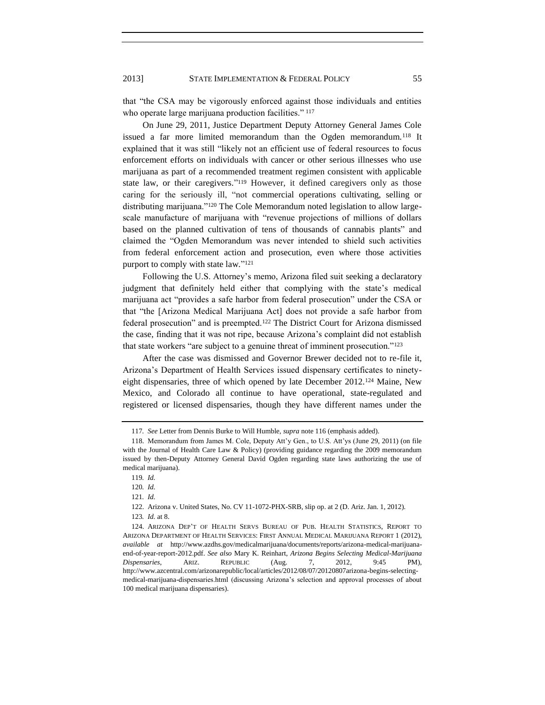that "the CSA may be vigorously enforced against those individuals and entities who operate large marijuana production facilities." 117

On June 29, 2011, Justice Department Deputy Attorney General James Cole issued a far more limited memorandum than the Ogden memorandum.<sup>118</sup> It explained that it was still "likely not an efficient use of federal resources to focus enforcement efforts on individuals with cancer or other serious illnesses who use marijuana as part of a recommended treatment regimen consistent with applicable state law, or their caregivers."<sup>119</sup> However, it defined caregivers only as those caring for the seriously ill, "not commercial operations cultivating, selling or distributing marijuana."<sup>120</sup> The Cole Memorandum noted legislation to allow largescale manufacture of marijuana with "revenue projections of millions of dollars based on the planned cultivation of tens of thousands of cannabis plants" and claimed the "Ogden Memorandum was never intended to shield such activities from federal enforcement action and prosecution, even where those activities purport to comply with state law."<sup>121</sup>

Following the U.S. Attorney's memo, Arizona filed suit seeking a declaratory judgment that definitely held either that complying with the state's medical marijuana act "provides a safe harbor from federal prosecution" under the CSA or that "the [Arizona Medical Marijuana Act] does not provide a safe harbor from federal prosecution" and is preempted.<sup>122</sup> The District Court for Arizona dismissed the case, finding that it was not ripe, because Arizona's complaint did not establish that state workers "are subject to a genuine threat of imminent prosecution."<sup>123</sup>

After the case was dismissed and Governor Brewer decided not to re-file it, Arizona's Department of Health Services issued dispensary certificates to ninetyeight dispensaries, three of which opened by late December 2012.<sup>124</sup> Maine, New Mexico, and Colorado all continue to have operational, state-regulated and registered or licensed dispensaries, though they have different names under the

<span id="page-17-0"></span><sup>117</sup>*. See* Letter from Dennis Burke to Will Humble, *supra* not[e 116](#page-16-0) (emphasis added).

<sup>118.</sup> Memorandum from James M. Cole, Deputy Att'y Gen., to U.S. Att'ys (June 29, 2011) (on file with the Journal of Health Care Law & Policy) (providing guidance regarding the 2009 memorandum issued by then-Deputy Attorney General David Ogden regarding state laws authorizing the use of medical marijuana).

<sup>119</sup>*. Id.*

<sup>120</sup>*. Id.*

<sup>121</sup>*. Id.*

<sup>122.</sup> Arizona v. United States, No. CV 11-1072-PHX-SRB, slip op. at 2 (D. Ariz. Jan. 1, 2012). 123*. Id.* at 8.

<sup>124.</sup> ARIZONA DEP'T OF HEALTH SERVS BUREAU OF PUB. HEALTH STATISTICS, REPORT TO ARIZONA DEPARTMENT OF HEALTH SERVICES: FIRST ANNUAL MEDICAL MARIJUANA REPORT 1 (2012), *available at* http://www.azdhs.gov/medicalmarijuana/documents/reports/arizona-medical-marijuanaend-of-year-report-2012.pdf. *See also* Mary K. Reinhart, *Arizona Begins Selecting Medical-Marijuana Dispensaries*, ARIZ. REPUBLIC (Aug. 7, 2012, 9:45 PM), http://www.azcentral.com/arizonarepublic/local/articles/2012/08/07/20120807arizona-begins-selectingmedical-marijuana-dispensaries.html (discussing Arizona's selection and approval processes of about 100 medical marijuana dispensaries).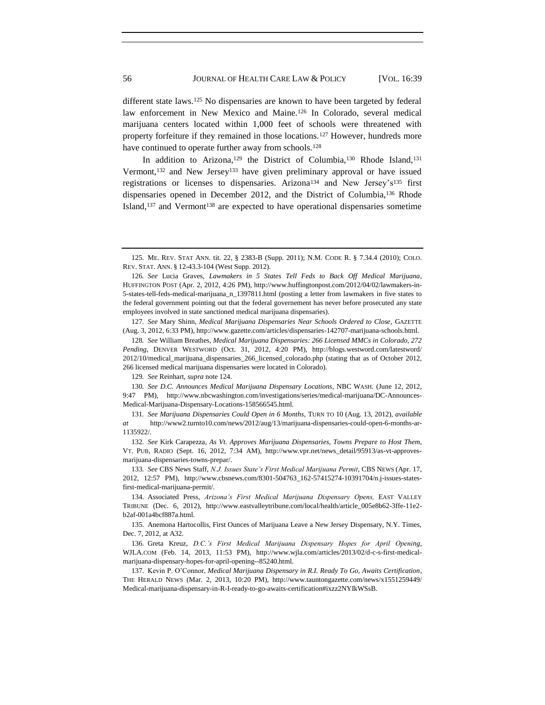different state laws.<sup>125</sup> No dispensaries are known to have been targeted by federal law enforcement in New Mexico and Maine.<sup>126</sup> In Colorado, several medical marijuana centers located within 1,000 feet of schools were threatened with property forfeiture if they remained in those locations.<sup>127</sup> However, hundreds more have continued to operate further away from schools.<sup>128</sup>

In addition to Arizona,<sup>129</sup> the District of Columbia,<sup>130</sup> Rhode Island,<sup>131</sup> Vermont,<sup>132</sup> and New Jersey<sup>133</sup> have given preliminary approval or have issued registrations or licenses to dispensaries. Arizona<sup>134</sup> and New Jersey's<sup>135</sup> first dispensaries opened in December 2012, and the District of Columbia,<sup>136</sup> Rhode Island, $137$  and Vermont $138$  are expected to have operational dispensaries sometime

127*. See* Mary Shinn, *Medical Marijuana Dispensaries Near Schools Ordered to Close*, GAZETTE (Aug. 3, 2012, 6:33 PM), http://www.gazette.com/articles/dispensaries-142707-marijuana-schools.html.

128*. See* William Breathes, *Medical Marijuana Dispensaries: 266 Licensed MMCs in Colorado, 272 Pending*, DENVER WESTWORD (Oct. 31, 2012, 4:20 PM), http://blogs.westword.com/latestword/ 2012/10/medical\_marijuana\_dispensaries\_266\_licensed\_colorado.php (stating that as of October 2012, 266 licensed medical marijuana dispensaries were located in Colorado).

129*. See* Reinhart, *supra* not[e 124.](#page-17-0)

130*. See D.C. Announces Medical Marijuana Dispensary Locations*, NBC WASH. (June 12, 2012, 9:47 PM), http://www.nbcwashington.com/investigations/series/medical-marijuana/DC-Announces-Medical-Marijuana-Dispensary-Locations-158566545.html.

131*. See Marijuana Dispensaries Could Open in 6 Months*, TURN TO 10 (Aug. 13, 2012), *available at* http://www2.turnto10.com/news/2012/aug/13/marijuana-dispensaries-could-open-6-months-ar-1135922/.

132*. See* Kirk Carapezza, *As Vt. Approves Marijuana Dispensaries, Towns Prepare to Host Them*, VT. PUB, RADIO (Sept. 16, 2012, 7:34 AM), http://www.vpr.net/news\_detail/95913/as-vt-approvesmarijuana-dispensaries-towns-prepar/.

133*. See* CBS News Staff, *N.J. Issues State's First Medical Marijuana Permit*, CBS NEWS (Apr. 17, 2012, 12:57 PM), http://www.cbsnews.com/8301-504763\_162-57415274-10391704/n.j-issues-statesfirst-medical-marijuana-permit/.

134. Associated Press, *Arizona's First Medical Marijuana Dispensary Opens,* EAST VALLEY TRIBUNE (Dec. 6, 2012), http://www.eastvalleytribune.com/local/health/article\_005e8b62-3ffe-11e2 b2af-001a4bcf887a.html.

135. Anemona Hartocollis, First Ounces of Marijuana Leave a New Jersey Dispensary, N.Y. Times, Dec. 7, 2012, at A32.

136. Greta Kreuz, *D.C.'s First Medical Marijuana Dispensary Hopes for April Opening*, WJLA.COM (Feb. 14, 2013, 11:53 PM), http://www.wjla.com/articles/2013/02/d-c-s-first-medicalmarijuana-dispensary-hopes-for-april-opening--85240.html.

137. Kevin P. O'Connor, *Medical Marijuana Dispensary in R.I. Ready To Go, Awaits Certification*, THE HERALD NEWS (Mar. 2, 2013, 10:20 PM), http://www.tauntongazette.com/news/x1551259449/ Medical-marijuana-dispensary-in-R-I-ready-to-go-awaits-certification#ixzz2NYIkWSsB.

<sup>125.</sup> ME. REV. STAT ANN. tit. 22, § 2383-B (Supp. 2011); N.M. CODE R. § 7.34.4 (2010); COLO. REV. STAT. ANN. § 12-43.3-104 (West Supp. 2012).

<sup>126</sup>*. See* Lucia Graves, *Lawmakers in 5 States Tell Feds to Back Off Medical Marijuana*, HUFFINGTON POST (Apr. 2, 2012, 4:26 PM), http://www.huffingtonpost.com/2012/04/02/lawmakers-in-5-states-tell-feds-medical-marijuana\_n\_1397811.html (posting a letter from lawmakers in five states to the federal government pointing out that the federal governement has never before prosecuted any state employees involved in state sanctioned medical marijuana dispensaries).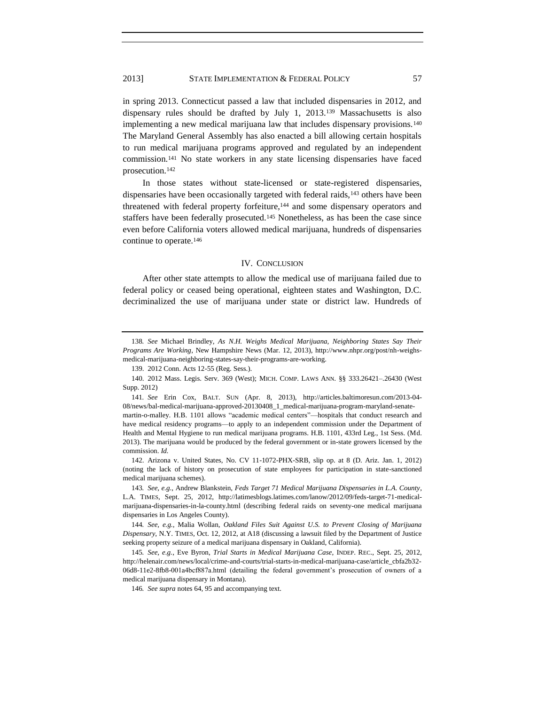in spring 2013. Connecticut passed a law that included dispensaries in 2012, and dispensary rules should be drafted by July 1, 2013.<sup>139</sup> Massachusetts is also implementing a new medical marijuana law that includes dispensary provisions.<sup>140</sup> The Maryland General Assembly has also enacted a bill allowing certain hospitals to run medical marijuana programs approved and regulated by an independent commission.<sup>141</sup> No state workers in any state licensing dispensaries have faced prosecution.<sup>142</sup>

In those states without state-licensed or state-registered dispensaries, dispensaries have been occasionally targeted with federal raids,<sup>143</sup> others have been threatened with federal property forfeiture,<sup>144</sup> and some dispensary operators and staffers have been federally prosecuted.<sup>145</sup> Nonetheless, as has been the case since even before California voters allowed medical marijuana, hundreds of dispensaries continue to operate.<sup>146</sup>

#### IV. CONCLUSION

After other state attempts to allow the medical use of marijuana failed due to federal policy or ceased being operational, eighteen states and Washington, D.C. decriminalized the use of marijuana under state or district law. Hundreds of

<sup>138</sup>*. See* Michael Brindley*, As N.H. Weighs Medical Marijuana, Neighboring States Say Their Programs Are Working*, New Hampshire News (Mar. 12, 2013), http://www.nhpr.org/post/nh-weighsmedical-marijuana-neighboring-states-say-their-programs-are-working.

<sup>139.</sup> 2012 Conn. Acts 12-55 (Reg. Sess.).

<sup>140.</sup> 2012 Mass. Legis. Serv. 369 (West); MICH. COMP. LAWS ANN. §§ 333.26421–.26430 (West Supp. 2012)

<sup>141</sup>*. See* Erin Cox, BALT. SUN (Apr. 8, 2013), http://articles.baltimoresun.com/2013-04- 08/news/bal-medical-marijuana-approved-20130408\_1\_medical-marijuana-program-maryland-senatemartin-o-malley. H.B. 1101 allows "academic medical centers"—hospitals that conduct research and have medical residency programs—to apply to an independent commission under the Department of

Health and Mental Hygiene to run medical marijuana programs. H.B. 1101, 433rd Leg., 1st Sess. (Md. 2013). The marijuana would be produced by the federal government or in-state growers licensed by the commission. *Id.*

<sup>142.</sup> Arizona v. United States, No. CV 11-1072-PHX-SRB, slip op. at 8 (D. Ariz. Jan. 1, 2012) (noting the lack of history on prosecution of state employees for participation in state-sanctioned medical marijuana schemes).

<sup>143</sup>*. See, e.g.*, Andrew Blankstein, *Feds Target 71 Medical Marijuana Dispensaries in L.A. County*, L.A. TIMES, Sept. 25, 2012, http://latimesblogs.latimes.com/lanow/2012/09/feds-target-71-medicalmarijuana-dispensaries-in-la-county.html (describing federal raids on seventy-one medical marijuana dispensaries in Los Angeles County).

<sup>144</sup>*. See, e.g.*, Malia Wollan, *Oakland Files Suit Against U.S. to Prevent Closing of Marijuana Dispensary*, N.Y. TIMES, Oct. 12, 2012, at A18 (discussing a lawsuit filed by the Department of Justice seeking property seizure of a medical marijuana dispensary in Oakland, California).

<sup>145</sup>*. See, e.g.*, Eve Byron, *Trial Starts in Medical Marijuana Case*, INDEP. REC., Sept. 25, 2012, http://helenair.com/news/local/crime-and-courts/trial-starts-in-medical-marijuana-case/article\_cbfa2b32- 06d8-11e2-8fb8-001a4bcf887a.html (detailing the federal government's prosecution of owners of a medical marijuana dispensary in Montana).

<sup>146</sup>*. See supra* note[s 64,](#page-10-0) [95](#page-14-0) and accompanying text.